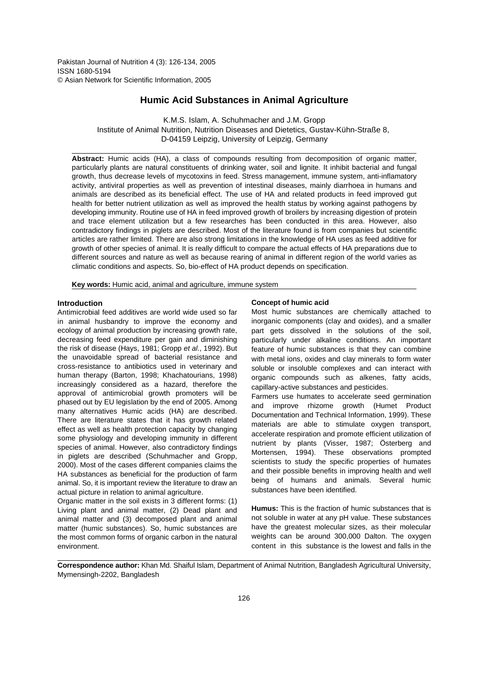Pakistan Journal of Nutrition 4 (3): 126-134, 2005 ISSN 1680-5194 © Asian Network for Scientific Information, 2005

# **Humic Acid Substances in Animal Agriculture**

K.M.S. Islam, A. Schuhmacher and J.M. Gropp Institute of Animal Nutrition, Nutrition Diseases and Dietetics, Gustav-Kühn-Straße 8, D-04159 Leipzig, University of Leipzig, Germany

**Abstract:** Humic acids (HA), a class of compounds resulting from decomposition of organic matter, particularly plants are natural constituents of drinking water, soil and lignite. It inhibit bacterial and fungal growth, thus decrease levels of mycotoxins in feed. Stress management, immune system, anti-inflamatory activity, antiviral properties as well as prevention of intestinal diseases, mainly diarrhoea in humans and animals are described as its beneficial effect. The use of HA and related products in feed improved gut health for better nutrient utilization as well as improved the health status by working against pathogens by developing immunity. Routine use of HA in feed improved growth of broilers by increasing digestion of protein and trace element utilization but a few researches has been conducted in this area. However, also contradictory findings in piglets are described. Most of the literature found is from companies but scientific articles are rather limited. There are also strong limitations in the knowledge of HA uses as feed additive for growth of other species of animal. It is really difficult to compare the actual effects of HA preparations due to different sources and nature as well as because rearing of animal in different region of the world varies as climatic conditions and aspects. So, bio-effect of HA product depends on specification.

**Key words:** Humic acid, animal and agriculture, immune system

## **Introduction**

Antimicrobial feed additives are world wide used so far in animal husbandry to improve the economy and ecology of animal production by increasing growth rate, decreasing feed expenditure per gain and diminishing the risk of disease (Hays, 1981; Gropp et al., 1992). But the unavoidable spread of bacterial resistance and cross-resistance to antibiotics used in veterinary and human therapy (Barton, 1998; Khachatourians, 1998) increasingly considered as a hazard, therefore the approval of antimicrobial growth promoters will be phased out by EU legislation by the end of 2005. Among many alternatives Humic acids (HA) are described. There are literature states that it has growth related effect as well as health protection capacity by changing some physiology and developing immunity in different species of animal. However, also contradictory findings in piglets are described (Schuhmacher and Gropp, 2000). Most of the cases different companies claims the HA substances as beneficial for the production of farm animal. So, it is important review the literature to draw an actual picture in relation to animal agriculture.

Organic matter in the soil exists in 3 different forms: (1) Living plant and animal matter, (2) Dead plant and animal matter and (3) decomposed plant and animal matter (humic substances). So, humic substances are the most common forms of organic carbon in the natural environment.

### **Concept of humic acid**

Most humic substances are chemically attached to inorganic components (clay and oxides), and a smaller part gets dissolved in the solutions of the soil, particularly under alkaline conditions. An important feature of humic substances is that they can combine with metal ions, oxides and clay minerals to form water soluble or insoluble complexes and can interact with organic compounds such as alkenes, fatty acids, capillary-active substances and pesticides.

Farmers use humates to accelerate seed germination and improve rhizome growth (Humet Product Documentation and Technical Information, 1999). These materials are able to stimulate oxygen transport, accelerate respiration and promote efficient utilization of nutrient by plants (Visser, 1987; Österberg and Mortensen, 1994). These observations prompted scientists to study the specific properties of humates and their possible benefits in improving health and well being of humans and animals. Several humic substances have been identified.

**Humus:** This is the fraction of humic substances that is not soluble in water at any pH value. These substances have the greatest molecular sizes, as their molecular weights can be around 300,000 Dalton. The oxygen content in this substance is the lowest and falls in the

**Correspondence author:** Khan Md. Shaiful Islam, Department of Animal Nutrition, Bangladesh Agricultural University, Mymensingh-2202, Bangladesh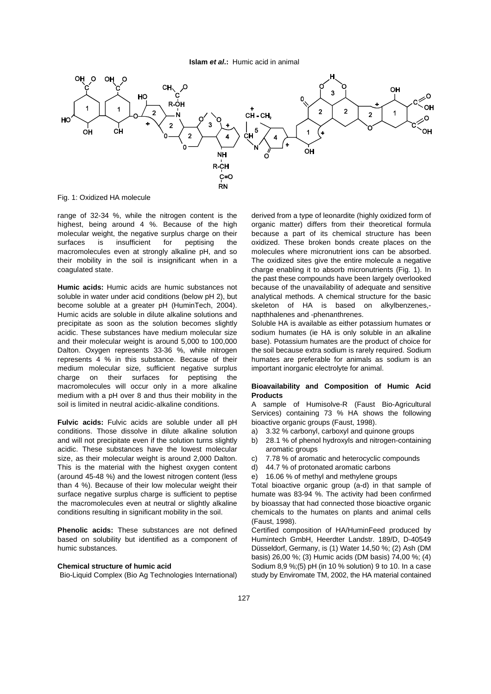

Fig. 1: Oxidized HA molecule

highest, being around 4 %. Because of the high organic matter) differs from their theoretical formula molecular weight, the negative surplus charge on their because a part of its chemical structure has been surfaces is insufficient for peptising the oxidized. These broken bonds create places on the macromolecules even at strongly alkaline pH, and so molecules where micronutrient ions can be absorbed. their mobility in the soil is insignificant when in a The oxidized sites give the entire molecule a negative coagulated state. coagulated state. coagulated state. coagulated state.

soluble in water under acid conditions (below pH 2), but analytical methods. A chemical structure for the basic become soluble at a greater pH (HuminTech, 2004). skeleton of HA is based on alkylbenzenes,- Humic acids are soluble in dilute alkaline solutions and napthhalenes and -phenanthrenes. precipitate as soon as the solution becomes slightly Soluble HA is available as either potassium humates or acidic. These substances have medium molecular size sodium humates (ie HA is only soluble in an alkaline and their molecular weight is around 5,000 to 100,000 base). Potassium humates are the product of choice for Dalton. Oxygen represents 33-36 %, while nitrogen the soil because extra sodium is rarely required. Sodium represents 4 % in this substance. Because of their humates are preferable for animals as sodium is an medium molecular size, sufficient negative surplus important inorganic electrolyte for animal. charge on their surfaces for peptising the macromolecules will occur only in a more alkaline **Bioavailability and Composition of Humic Acid** medium with a pH over 8 and thus their mobility in the **Products**<br>soil is limited in neutral acidic-alkaline conditions. A sample

**Fulvic acids:** Fulvic acids are soluble under all pH bioactive organic groups (Faust, 1998). conditions. Those dissolve in dilute alkaline solution a) 3.32 % carbonyl, carboxyl and quinone groups and will not precipitate even if the solution turns slightly b) 28.1 % of phenol hydroxyls and nitrogen-containing acidic. These substances have the lowest molecular aromatic groups size, as their molecular weight is around 2,000 Dalton. c) 7.78 % of aromatic and heterocyclic compounds This is the material with the highest oxygen content d) 44.7 % of protonated aromatic carbons (around 45-48 %) and the lowest nitrogen content (less e) 16.06 % of methyl and methylene groups than 4 %). Because of their low molecular weight their Total bioactive organic group (a-d) in that sample of surface negative surplus charge is sufficient to peptise humate was 83-94 %. The activity had been confirmed the macromolecules even at neutral or slightly alkaline by bioassay that had connected those bioactive organic conditions resulting in significant mobility in the soil. chemicals to the humates on plants and animal cells

based on solubility but identified as a component of Humintech GmbH, Heerdter Landstr. 189/D, D-40549 humic substances.  $\blacksquare$  Düsseldorf, Germany, is (1) Water 14,50 %; (2) Ash (DM

range of 32-34 %, while the nitrogen content is the derived from a type of leonardite (highly oxidized form of **Humic acids:** Humic acids are humic substances not because of the unavailability of adequate and sensitive the past these compounds have been largely overlooked

A sample of Humisolve-R (Faust Bio-Agricultural Services) containing 73 % HA shows the following

- 
- 
- 
- 
- 

(Faust, 1998).

**Phenolic acids:** These substances are not defined Certified composition of HA/HuminFeed produced by **Chemical structure of humic acid** Sodium 8,9 %;(5) pH (in 10 % solution) 9 to 10. In a case Bio-Liquid Complex (Bio Ag Technologies International) study by Enviromate TM, 2002, the HA material contained basis) 26,00 %; (3) Humic acids (DM basis) 74,00 %; (4)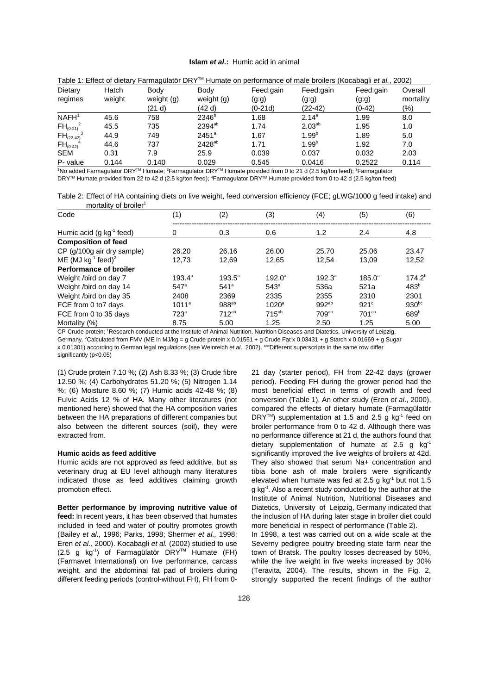| Table 1: Effect of dietary Farmagülatör DRY <sup>™</sup> Humate on performance of male broilers (Kocabagli et al., 2002) |        |                                                     |                      |                    |                    |                   |                  |  |
|--------------------------------------------------------------------------------------------------------------------------|--------|-----------------------------------------------------|----------------------|--------------------|--------------------|-------------------|------------------|--|
| Dietary                                                                                                                  | Hatch  | Body                                                | Bodv                 | Feed:gain          | Feed:gain          | Feed:gain         | Overall          |  |
| regimes                                                                                                                  | weight | weight (g)<br>(21 d)                                | weight (g)<br>(42 d) | (g.g)<br>$(0-21d)$ | (g.g)<br>$(22-42)$ | (g.g)<br>$(0-42)$ | mortality<br>(%) |  |
| NAFH <sup>1</sup>                                                                                                        | 45.6   | 758                                                 | 2346 <sup>b</sup>    | 1.68               | $2.14^{a}$         | 1.99              | 8.0              |  |
|                                                                                                                          | 45.5   | 735                                                 | $2394^{ab}$          | 1.74               | $2.03^{ab}$        | 1.95              | 1.0              |  |
|                                                                                                                          | 44.9   | 749                                                 | $2451^a$             | 1.67               | $1.99^{b}$         | 1.89              | 5.0              |  |
| $FH_{(0-42)}$                                                                                                            | 44.6   | 737                                                 | 2428 <sup>ab</sup>   | 1.71               | 1.99 <sup>b</sup>  | 1.92              | 7.0              |  |
| SEM                                                                                                                      | 0.31   | 7.9                                                 | 25.9                 | 0.039              | 0.037              | 0.032             | 2.03             |  |
| P- value                                                                                                                 | 0.144  | 0.140                                               | 0.029                | 0.545              | 0.0416             | 0.2522            | 0.114            |  |
| $FH_{(0-21)}^2$<br>$FH_{(22-42)}^{3}$                                                                                    |        | $\sim$ $\sim$ $\sim$ $\sim$ $\sim$ $\sim$<br>$\sim$ | $- - - -$            | .                  | - - - - - - - - -  | $\sim$ $\sim$     |                  |  |

<sup>1</sup>No added Farmagulator DRY<sup>™</sup> Humate; <sup>2</sup>Farmagulator DRY<sup>™</sup> Humate provided from 0 to 21 d (2.5 kg/ton feed); <sup>3</sup>Farmagulator DRY<sup>™</sup> Humate provided from 22 to 42 d (2.5 kg/ton feed); <sup>4</sup>Farmagulator DRY™ Humate provided from 0 to 42 d (2.5 kg/ton feed)

Table 2: Effect of HA containing diets on live weight, feed conversion efficiency (FCE; gLWG/1000 g feed intake) and mortality of broiler<sup>1</sup>

| Code                                 | (1)                | (2)              | (3)               | (4)         | (5)             | (6)              |
|--------------------------------------|--------------------|------------------|-------------------|-------------|-----------------|------------------|
| Humic acid (g kg <sup>-1</sup> feed) | 0                  | 0.3              | 0.6               | 1.2         | 2.4             | 4.8              |
| <b>Composition of feed</b>           |                    |                  |                   |             |                 |                  |
| CP (g/100g air dry sample)           | 26.20              | 26.16            | 26.00             | 25.70       | 25.06           | 23.47            |
| ME (MJ $kg^{-1}$ feed) <sup>2</sup>  | 12,73              | 12.69            | 12,65             | 12,54       | 13,09           | 12,52            |
| <b>Performance of broiler</b>        |                    |                  |                   |             |                 |                  |
| Weight /bird on day 7                | $193.4^{\circ}$    | $193.5^{\circ}$  | $192.0^{\circ}$   | $192.3^{a}$ | $185.0^{\circ}$ | $174.2^{b}$      |
| Weight /bird on day 14               | $547$ <sup>a</sup> | 541 <sup>a</sup> | 543 <sup>a</sup>  | 536a        | 521a            | 483 <sup>b</sup> |
| Weight /bird on day 35               | 2408               | 2369             | 2335              | 2355        | 2310            | 2301             |
| FCE from 0 to7 days                  | $1011^a$           | $988^{ab}$       | 1020 <sup>a</sup> | $992^{ab}$  | $921^{\circ}$   | $930^{bc}$       |
| FCE from 0 to 35 days                | 723 <sup>a</sup>   | $712^{ab}$       | $715^{ab}$        | $709^{ab}$  | $701^{ab}$      | 689 <sup>b</sup> |
| Mortality (%)                        | 8.75               | 5.00             | 1.25              | 2.50        | 1.25            | 5.00             |

CP-Crude protein; Research conducted at the Institute of Animal Nutrition, Nutrition Diseases and Diatetics, University of Leipzig, <sup>1</sup> Germany. <sup>2</sup>Calculated from FMV (ME in MJ/kg = g Crude protein x 0.01551 + g Crude Fat x 0.03431 + g Starch x 0.01669 + g Sugar x 0.01301) according to German legal regulations (see Weinreich et al., 2002). <sup>abc</sup>Different superscripts in the same row differ significantly (p<0.05)

12.50 %; (4) Carbohydrates 51.20 %; (5) Nitrogen 1.14 period). Feeding FH during the grower period had the %; (6) Moisture 8.60 %; (7) Humic acids 42-48 %; (8) most beneficial effect in terms of growth and feed Fulvic Acids 12 % of HA. Many other literatures (not conversion (Table 1). An other study (Eren et al., 2000), mentioned here) showed that the HA composition varies compared the effects of dietary humate (Farmagülatör between the HA preparations of different companies but also between the different sources (soil), they were broiler performance from 0 to 42 d. Although there was extracted from. The stracted from that that is no performance difference at 21 d, the authors found that

veterinary drug at EU level although many literatures tibia bone ash of male broilers were significantly indicated those as feed additives claiming growth promotion effect. g kg . Also a recent study conducted by the author at the -1

feed: In recent years, it has been observed that humates the inclusion of HA during later stage in broiler diet could included in feed and water of poultry promotes growth more beneficial in respect of performance (Table 2). (Bailey et al., 1996; Parks, 1998; Shermer et al., 1998; In 1998, a test was carried out on a wide scale at the Eren et al., 2000). Kocabagli et al. (2002) studied to use Severny pedigree poultry breeding state farm near the  $(2.5 \text{ g kg}^{-1})$  of Farmagülatör DRY<sup>TM</sup> Humate (FH) town of Bratsk. The poultry losses decreased by 50%, (Farmavet International) on live performance, carcass while the live weight in five weeks increased by 30% weight, and the abdominal fat pad of broilers during (Teravita, 2004). The results, shown in the Fig. 2, different feeding periods (control-without FH), FH from 0- strongly supported the recent findings of the author

(1) Crude protein 7.10 %; (2) Ash 8.33 %; (3) Crude fibre 21 day (starter period), FH from 22-42 days (grower **Humic acids as feed additive** strategies are significantly improved the live weights of broilers at 42d. Humic acids are not approved as feed additive, but as They also showed that serum Na+ concentration and **Better performance by improving nutritive value of** Diatetics, University of Leipzig, Germany indicated that DRY<sup>TM</sup>) supplementation at 1.5 and 2.5 g  $kg^{-1}$  feed on dietary supplementation of humate at 2.5 g  $kg<sup>-1</sup>$ elevated when humate was fed at 2.5 g kg<sup>-1</sup> but not 1.5 Institute of Animal Nutrition, Nutritional Diseases and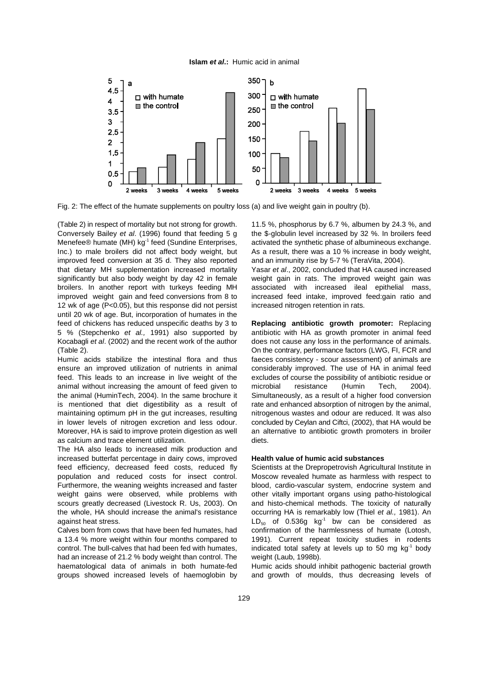

Fig. 2: The effect of the humate supplements on poultry loss (a) and live weight gain in poultry (b).

(Table 2) in respect of mortality but not strong for growth. 11.5 %, phosphorus by 6.7 %, albumen by 24.3 %, and Conversely Bailey et al. (1996) found that feeding 5 g the \$-globulin level increased by 32 %. In broilers feed Menefee® humate (MH) kg<sup>-1</sup> feed (Sundine Enterprises, activated the synthetic phase of albumineous exchange. Inc.) to male broilers did not affect body weight, but As a result, there was a 10 % increase in body weight, improved feed conversion at 35 d. They also reported and an immunity rise by 5-7 % (TeraVita, 2004). that dietary MH supplementation increased mortality Yasar et al., 2002, concluded that HA caused increased significantly but also body weight by day 42 in female weight gain in rats. The improved weight gain was broilers. In another report with turkeys feeding MH associated with increased ileal epithelial mass, improved weight gain and feed conversions from 8 to increased feed intake, improved feed:gain ratio and 12 wk of age (P<0.05), but this response did not persist increased nitrogen retention in rats. until 20 wk of age. But, incorporation of humates in the feed of chickens has reduced unspecific deaths by 3 to **Replacing antibiotic growth promoter:** Replacing

ensure an improved utilization of nutrients in animal considerably improved. The use of HA in animal feed feed. This leads to an increase in live weight of the excludes of course the possibility of antibiotic residue or animal without increasing the amount of feed given to microbial resistance (Humin Tech, 2004). the animal (HuminTech, 2004). In the same brochure it Simultaneously, as a result of a higher food conversion is mentioned that diet digestibility as a result of rate and enhanced absorption of nitrogen by the animal, maintaining optimum pH in the gut increases, resulting nitrogenous wastes and odour are reduced. It was also in lower levels of nitrogen excretion and less odour. concluded by Ceylan and Ciftci, (2002), that HA would be Moreover, HA is said to improve protein digestion as well an alternative to antibiotic growth promoters in broiler as calcium and trace element utilization. The calcium of diets.

The HA also leads to increased milk production and increased butterfat percentage in dairy cows, improved **Health value of humic acid substances** feed efficiency, decreased feed costs, reduced fly Scientists at the Drepropetrovish Agricultural Institute in population and reduced costs for insect control. Moscow revealed humate as harmless with respect to Furthermore, the weaning weights increased and faster blood, cardio-vascular system, endocrine system and weight gains were observed, while problems with other vitally important organs using patho-histological scours greatly decreased (Livestock R. Us, 2003). On and histo-chemical methods. The toxicity of naturally the whole, HA should increase the animal's resistance occurring HA is remarkably low (Thiel et al., 1981). An

control. The bull-calves that had been fed with humates. had an increase of 21.2 % body weight than control. The weight (Laub, 1998b). haematological data of animals in both humate-fed Humic acids should inhibit pathogenic bacterial growth groups showed increased levels of haemoglobin by and growth of moulds, thus decreasing levels of

5 % (Stepchenko et al., 1991) also supported by antibiotic with HA as growth promoter in animal feed Kocabagli et al. (2002) and the recent work of the author does not cause any loss in the performance of animals. (Table 2). On the contrary, performance factors (LWG, FI, FCR and Humic acids stabilize the intestinal flora and thus faeces consistency - scour assessment) of animals are

against heat stress.  $LD_{50}$  of 0.536g kg<sup>-1</sup> bw can be considered as Calves born from cows that have been fed humates, had confirmation of the harmlessness of humate (Lotosh, a 13.4 % more weight within four months compared to 1991). Current repeat toxicity studies in rodents indicated total safety at levels up to 50 mg kg<sup>-1</sup> body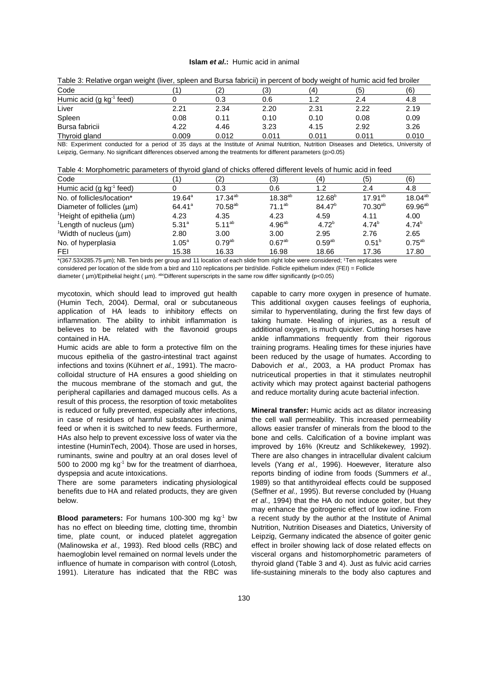| Table of Holding organ worght (information and Darba labilion) in porcont or body worght or harmo dold four bronon |       |       |       |       |       |       |  |  |
|--------------------------------------------------------------------------------------------------------------------|-------|-------|-------|-------|-------|-------|--|--|
| Code                                                                                                               |       | ⊂     | (3)   | (4)   | (5)   | (6)   |  |  |
| Humic acid (g kg <sup>-1</sup><br>feed)                                                                            |       | 0.3   | 0.6   | 1.2   | 2.4   | 4.8   |  |  |
| Liver                                                                                                              | 2.21  | 2.34  | 2.20  | 2.31  | 2.22  | 2.19  |  |  |
| Spleen                                                                                                             | 0.08  | 0.11  | 0.10  | 0.10  | 0.08  | 0.09  |  |  |
| Bursa fabricii                                                                                                     | 4.22  | 4.46  | 3.23  | 4.15  | 2.92  | 3.26  |  |  |
| Thyroid gland                                                                                                      | 0.009 | 0.012 | 0.011 | 0.011 | 0.011 | 0.010 |  |  |
|                                                                                                                    |       |       | .     |       |       |       |  |  |

| Table 3: Relative organ weight (liver, spleen and Bursa fabricii) in percent of body weight of humic acid fed broiler |  |
|-----------------------------------------------------------------------------------------------------------------------|--|
|-----------------------------------------------------------------------------------------------------------------------|--|

NB: Experiment conducted for a period of 35 days at the Institute of Animal Nutrition, Nutrition Diseases and Dietetics, University of Leipzig, Germany. No significant differences observed among the treatments for different parameters (p>0.05)

| Table 4: Morphometric parameters of thyroid gland of chicks offered different levels of humic acid in feed |  |  |  |
|------------------------------------------------------------------------------------------------------------|--|--|--|
|                                                                                                            |  |  |  |

| Code                                        |                   | (2)          | (3)                | (4)                | (5)          | (6)                 |
|---------------------------------------------|-------------------|--------------|--------------------|--------------------|--------------|---------------------|
| Humic acid (g kg <sup>-1</sup> feed)        |                   | 0.3          | 0.6                | 1.2                | 2.4          | 4.8                 |
| No. of follicles/location*                  | $19.64^{\circ}$   | $17.34^{ab}$ | $18.38^{ab}$       | $12.68^{b}$        | $17.91^{ab}$ | $18.04^{ab}$        |
| Diameter of follicles $(\mu m)$             | $64.41^a$         | $70.58^{ab}$ | $71.1^{ab}$        | 84.47 <sup>b</sup> | $70.30^{ab}$ | 69.96 <sup>ab</sup> |
| <sup>1</sup> Height of epithelia ( $\mu$ m) | 4.23              | 4.35         | 4.23               | 4.59               | 4.11         | 4.00                |
| <sup>1</sup> Length of nucleus $(\mu m)$    | $5.31^{a}$        | $5.11^{ab}$  | 4.96 <sup>ab</sup> | 4.72 <sup>b</sup>  | $4.74^{b}$   | $4.74^{b}$          |
| <sup>1</sup> Width of nucleus $(\mu m)$     | 2.80              | 3.00         | 3.00               | 2.95               | 2.76         | 2.65                |
| No. of hyperplasia                          | $1.05^{\text{a}}$ | $0.79^{ab}$  | $0.67^{ab}$        | $0.59^{ab}$        | $0.51^{b}$   | $0.75^{ab}$         |
| <b>FEI</b>                                  | 15.38             | 16.33        | 16.98              | 18.66              | 17.36        | 17.80               |

\*(367.53X285.75 µm); NB. Ten birds per group and 11 location of each slide from right lobe were considered; Ten replicates were <sup>1</sup> considered per location of the slide from a bird and 110 replications per bird/slide. Follicle epithelium index (FEI) = Follicle diameter (  $\mu$ m)/Epithelial height (  $\mu$ m). abcDifferent superscripts in the same row differ significantly (p<0.05)

mycotoxin, which should lead to improved gut health capable to carry more oxygen in presence of humate. (Humin Tech, 2004). Dermal, oral or subcutaneous This additional oxygen causes feelings of euphoria, application of HA leads to inhibitory effects on similar to hyperventilating, during the first few days of inflammation. The ability to inhibit inflammation is taking humate. Healing of injuries, as a result of believes to be related with the flavonoid groups additional oxygen, is much quicker. Cutting horses have believes to be related with the flavonoid groups

mucous epithelia of the gastro-intestinal tract against been reduced by the usage of humates. According to infections and toxins (Kühnert et al., 1991). The macro-<br>
Dabovich et al., 2003, a HA product Promax has colloidal structure of HA ensures a good shielding on nutriceutical properties in that it stimulates neutrophil the mucous membrane of the stomach and gut, the activity which may protect against bacterial pathogens peripheral capillaries and damaged mucous cells. As a and reduce mortality during acute bacterial infection. result of this process, the resorption of toxic metabolites is reduced or fully prevented, especially after infections, **Mineral transfer:** Humic acids act as dilator increasing in case of residues of harmful substances in animal the cell wall permeability. This increased permeability feed or when it is switched to new feeds. Furthermore, allows easier transfer of minerals from the blood to the HAs also help to prevent excessive loss of water via the bone and cells. Calcification of a bovine implant was intestine (HuminTech, 2004). Those are used in horses, improved by 16% (Kreutz and Schlikekewey, 1992). ruminants, swine and poultry at an oral doses level of There are also changes in intracellular divalent calcium 500 to 2000 mg kg<sup>-1</sup> bw for the treatment of diarrhoea, levels (Yang et al., 1996). Hoewever, literature also dyspepsia and acute intoxications. The reports binding of iodine from foods (Summers et al.,

benefits due to HA and related products, they are given (Seffner et al., 1995). But reverse concluded by (Huang below. **Example 2 below**. **et al., 1994) that the HA do not induce goiter, but they** 

has no effect on bleeding time, clotting time, thrombin Nutrition, Nutrition Diseases and Diatetics, University of time, plate count, or induced platelet aggregation Leipzig, Germany indicated the absence of goiter genic (Malinowska et al., 1993). Red blood cells (RBC) and effect in broiler showing lack of dose related effects on haemoglobin level remained on normal levels under the visceral organs and histomorphometric parameters of influence of humate in comparison with control (Lotosh, thyroid gland (Table 3 and 4). Just as fulvic acid carries and<br>1991). Literature has indicated that the RBC was life-sustaining minerals to the body also captures and

contained in HA. **Analyzing inflammations frequently from their rigorous** ankle inflammations frequently from their rigorous Humic acids are able to form a protective film on the training programs. Healing times for these injuries have

There are some parameters indicating physiological 1989) so that antithyroideal effects could be supposed **Blood parameters:** For humans 100-300 mg kg<sup>-1</sup> bw a recent study by the author at the Institute of Animal life-sustaining minerals to the body also captures and may enhance the goitrogenic effect of low iodine. From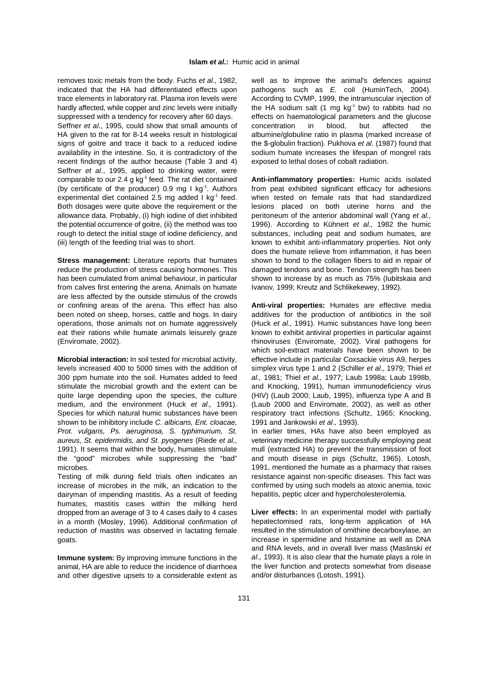indicated that the HA had differentiated effects upon pathogens such as E. coli (HuminTech, 2004). trace elements in laboratory rat. Plasma iron levels were According to CVMP, 1999, the intramuscular injection of hardly affected, while copper and zinc levels were initially  $\qquad$  the HA sodium salt (1 mg kg<sup>-1</sup> bw) to rabbits had no

HA given to the rat for 8-14 weeks result in histological albumine/globuline ratio in plasma (marked increase of signs of goitre and trace it back to a reduced iodine the \$-globulin fraction). Pukhova et al. (1987) found that availability in the intestine. So, it is contradictory of the sodium humate increases the lifespan of mongrel rats recent findings of the author because (Table 3 and 4) exposed to lethal doses of cobalt radiation. Seffner et al., 1995, applied to drinking water, were comparable to our 2.4 g kg<sup>-1</sup> feed. The rat diet contained **Anti-inflammatory properties:** Humic acids isolated (by certificate of the producer) 0.9 mg I kg<sup>-1</sup>. Authors from peat exhibited significant efficacy for adhesions experimental diet contained 2.5 mg added I kg<sup>-1</sup> feed. when tested on female rats that had standardized Both dosages were quite above the requirement or the lesions placed on both uterine horns and the allowance data. Probably, (i) high iodine of diet inhibited peritoneum of the anterior abdominal wall (Yang et al., the potential occurrence of goitre, (ii) the method was too 1996). According to Kühnert *et al.*, 1982 the humic rough to detect the initial stage of iodine deficiency, and substances, including peat and sodium humates, are (iii) length of the feeding trial was to short. known to exhibit anti-inflammatory properties. Not only

reduce the production of stress causing hormones. This damaged tendons and bone. Tendon strength has been has been cumulated from animal behaviour, in particular shown to increase by as much as 75% (Iubitskaia and from calves first entering the arena. Animals on humate Ivanov. 1999: Kreutz and Schlikekewev. 1992). from calves first entering the arena. Animals on humate are less affected by the outside stimulus of the crowds or confining areas of the arena. This effect has also **Anti-viral properties:** Humates are effective media been noted on sheep, horses, cattle and hogs. In dairy additives for the production of antibiotics in the soil operations, those animals not on humate aggressively (Huck et al., 1991). Humic substances have long been eat their rations while humate animals leisurely graze known to exhibit antiviral properties in particular against (Enviromate, 2002). rhinoviruses (Enviromate, 2002). Viral pathogens for

levels increased 400 to 5000 times with the addition of simplex virus type 1 and 2 (Schiller et al., 1979; Thiel et 300 ppm humate into the soil. Humates added to feed al., 1981; Thiel et al., 1977; Laub 1998a; Laub 1998b, stimulate the microbial growth and the extent can be and Knocking, 1991), human immunodeficiency virus quite large depending upon the species, the culture (HIV) (Laub 2000; Laub, 1995), influenza type A and B medium, and the environment (Huck et al., 1991). (Laub 2000 and Enviromate, 2002), as well as other Species for which natural humic substances have been respiratory tract infections (Schultz, 1965; Knocking, shown to be inhibitory include C. albicans, Ent. cloacae, 1991 and Jankowski et al., 1993). Prot. vulgaris, Ps. aeruginosa, S. typhimurium, St. In earlier times, HAs have also been employed as aureus, St. epidermidis, and St. pyogenes (Riede et al., veterinary medicine therapy successfully employing peat 1991). It seems that within the body, humates stimulate mull (extracted HA) to prevent the transmission of foot the "good" microbes while suppressing the "bad" and mouth disease in pigs (Schultz, 1965). Lotosh, microbes.

Testing of milk during field trials often indicates an increase of microbes in the milk, an indication to the dairyman of impending mastitis. As a result of feeding humates, mastitis cases within the milking herd dropped from an average of 3 to 4 cases daily to 4 cases in a month (Mosley, 1996). Additional confirmation of reduction of mastitis was observed in lactating female goats.

**Immune system:** By improving immune functions in the animal, HA are able to reduce the incidence of diarrhoea and other digestive upsets to a considerable extent as

removes toxic metals from the body. Fuchs et al., 1982, well as to improve the animal's defences against suppressed with a tendency for recovery after 60 days. effects on haematological parameters and the glucose Seffner et al., 1995, could show that small amounts of concentration in blood, but affected the

**Stress management:** Literature reports that humates shown to bond to the collagen fibers to aid in repair of does the humate relieve from inflammation, it has been

**Microbial interaction:** In soil tested for microbial activity, effective include in particular Coxsackie virus A9, herpes which soil-extract materials have been shown to be

> 1991, mentioned the humate as a pharmacy that raises resistance against non-specific diseases. This fact was confirmed by using such models as atoxic anemia, toxic hepatitis, peptic ulcer and hypercholesterolemia.

> **Liver effects:** In an experimental model with partially hepatectomised rats, long-term application of HA resulted in the stimulation of omithine decarboxylase, an increase in spermidine and histamine as well as DNA and RNA levels, and in overall liver mass (Maslinski et al., 1993). It is also clear that the humate plays a role in the liver function and protects somewhat from disease and/or disturbances (Lotosh, 1991).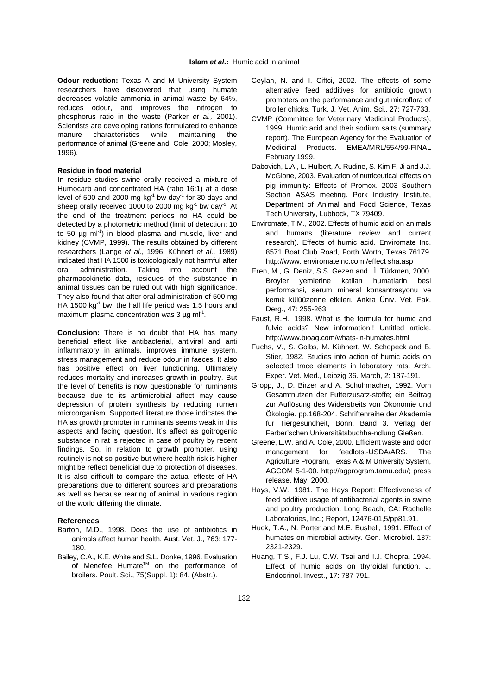researchers have discovered that using humate decreases volatile ammonia in animal waste by 64%, reduces odour, and improves the nitrogen to phosphorus ratio in the waste (Parker et al., 2001). Scientists are developing rations formulated to enhance manure characteristics while maintaining the performance of animal (Greene and Cole, 2000; Mosley, 1996).

### **Residue in food material**

In residue studies swine orally received a mixture of Humocarb and concentrated HA (ratio 16:1) at a dose level of 500 and 2000 mg  $kg<sup>-1</sup>$  bw day<sup>1</sup> for 30 days and sheep orally received 1000 to 2000 mg kg<sup>-1</sup> bw day<sup>-1</sup>. At the end of the treatment periods no HA could be detected by a photometric method (limit of detection: 10 to 50  $\mu$ g ml<sup>-1</sup>) in blood plasma and muscle, liver and kidney (CVMP, 1999). The results obtained by different researchers (Lange et al., 1996; Kühnert et al., 1989) indicated that HA 1500 is toxicologically not harmful after oral administration. Taking into account the pharmacokinetic data, residues of the substance in animal tissues can be ruled out with high significance. They also found that after oral administration of 500 mg HA 1500 kg<sup>-1</sup> bw, the half life period was 1.5 hours and maximum plasma concentration was  $3 \mu q$  ml<sup>-1</sup>.

**Conclusion:** There is no doubt that HA has many beneficial effect like antibacterial, antiviral and anti inflammatory in animals, improves immune system, stress management and reduce odour in faeces. It also has positive effect on liver functioning. Ultimately reduces mortality and increases growth in poultry. But the level of benefits is now questionable for ruminants because due to its antimicrobial affect may cause depression of protein synthesis by reducing rumen microorganism. Supported literature those indicates the HA as growth promoter in ruminants seems weak in this aspects and facing question. It's affect as goitrogenic substance in rat is rejected in case of poultry by recent findings. So, in relation to growth promoter, using routinely is not so positive but where health risk is higher might be reflect beneficial due to protection of diseases. It is also difficult to compare the actual effects of HA preparations due to different sources and preparations as well as because rearing of animal in various region of the world differing the climate.

### **References**

- Barton, M.D., 1998. Does the use of antibiotics in animals affect human health. Aust. Vet. J., 763: 177- 180.
- Bailey, C.A., K.E. White and S.L. Donke, 1996. Evaluation of Menefee Humate<sup>™</sup> on the performance of broilers. Poult. Sci., 75(Suppl. 1): 84. (Abstr.).
- **Odour reduction:** Texas A and M University System Ceylan, N. and I. Ciftci, 2002. The effects of some alternative feed additives for antibiotic growth promoters on the performance and gut microflora of broiler chicks. Turk. J. Vet. Anim. Sci., 27: 727-733.
	- CVMP (Committee for Veterinary Medicinal Products), 1999. Humic acid and their sodium salts (summary report). The European Agency for the Evaluation of Medicinal Products. EMEA/MRL/554/99-FINAL February 1999.
	- Dabovich, L.A., L. Hulbert, A. Rudine, S. Kim F. Ji and J.J. McGlone, 2003. Evaluation of nutriceutical effects on pig immunity: Effects of Promox. 2003 Southern Section ASAS meeting. Pork Industry Institute, Department of Animal and Food Science, Texas Tech University, Lubbock, TX 79409.
	- Enviromate, T.M., 2002. Effects of humic acid on animals and humans (literature review and current research). Effects of humic acid. Enviromate Inc. 8571 Boat Club Road, Forth Worth, Texas 76179. http://www. enviromateinc.com /effect sha.asp
	- Eren, M., G. Deniz, S.S. Gezen and I.Ì. Türkmen, 2000. Broyler yemlerine katilan humatlarin besi performansi, serum mineral konsantrasyonu ve kemik külüüzerine etkileri. Ankra Üniv. Vet. Fak. Derg., 47: 255-263.
	- Faust, R.H., 1998. What is the formula for humic and fulvic acids? New information!! Untitled article. http://www.bioag.com/whats-in-humates.html
	- Fuchs, V., S. Golbs, M. Kühnert, W. Schopeck and B. Stier, 1982. Studies into action of humic acids on selected trace elements in laboratory rats. Arch. Exper. Vet. Med., Leipzig 36. March, 2: 187-191.
	- Gropp, J., D. Birzer and A. Schuhmacher, 1992. Vom Gesamtnutzen der Futterzusatz-stoffe; ein Beitrag zur Auflösung des Widerstreits von Ökonomie und Ökologie. pp.168-204. Schriftenreihe der Akademie für Tiergesundheit, Bonn, Band 3. Verlag der Ferber'schen Universitätsbuchha-ndlung Gießen.
	- Greene, L.W. and A. Cole, 2000. Efficient waste and odor management for feedlots.-USDA/ARS. The Agriculture Program, Texas A & M University System, AGCOM 5-1-00. http://agprogram.tamu.edu/; press release, May, 2000.
	- Hays, V.W., 1981. The Hays Report: Effectiveness of feed additive usage of antibacterial agents in swine and poultry production. Long Beach, CA: Rachelle Laboratories, Inc.; Report, 12476-01,5/pp81.91.
	- Huck, T.A., N. Porter and M.E. Bushell, 1991. Effect of humates on microbial activity. Gen. Microbiol. 137: 2321-2329.
	- Huang, T.S., F.J. Lu, C.W. Tsai and I.J. Chopra, 1994. Effect of humic acids on thyroidal function. J. Endocrinol. Invest., 17: 787-791.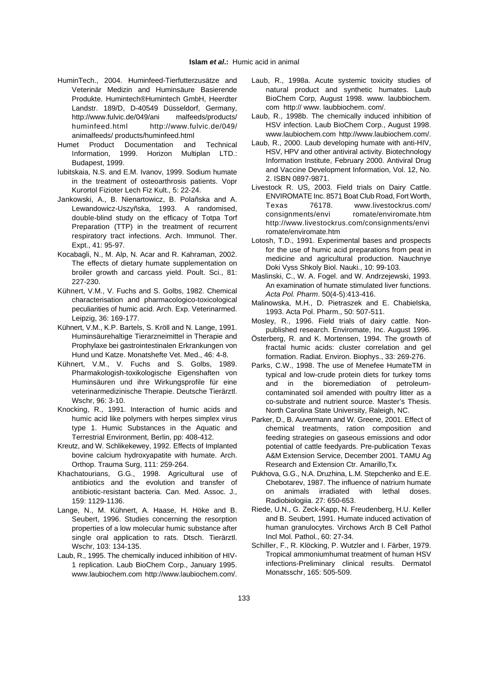- HuminTech., 2004. Huminfeed-Tierfutterzusätze and Laub, R., 1998a. Acute systemic toxicity studies of Veterinär Medizin and Huminsäure Basierende Produkte. Humintech®Humintech GmbH, Heerdter Landstr. 189/D, D-40549 Düsseldorf, Germany, http://www.fulvic.de/049/ani malfeeds/products/ huminfeed.html http://www.fulvic.de/049/ animalfeeds/ products/huminfeed.html
- Humet Product Documentation and Technical Information, 1999. Horizon Multiplan LTD.: Budapest, 1999.
- Iubitskaia, N.S. and E.M. Ivanov, 1999. Sodium humate in the treatment of osteoarthrosis patients. Vopr Kurortol Fizioter Lech Fiz Kult., 5: 22-24.
- Jankowski, A., B. Nienartowicz, B. Polañska and A. Lewandowicz-Uszyñska, 1993. A randomised, double-blind study on the efficacy of Totpa Torf Preparation (TTP) in the treatment of recurrent respiratory tract infections. Arch. Immunol. Ther. Expt., 41: 95-97.
- Kocabagli, N., M. Alp, N. Acar and R. Kahraman, 2002. The effects of dietary humate supplementation on broiler growth and carcass yield. Poult. Sci., 81: 227-230.
- Kühnert, V.M., V. Fuchs and S. Golbs, 1982. Chemical characterisation and pharmacologico-toxicological peculiarities of humic acid. Arch. Exp. Veterinarmed. Leipzig, 36: 169-177.
- Kühnert, V.M., K.P. Bartels, S. Kröll and N. Lange, 1991. Huminsäurehaltige Tierarzneimittel in Therapie and Prophylaxe bei gastrointestinalen Erkrankungen von Hund und Katze. Monatshefte Vet. Med., 46: 4-8.
- Kühnert, V.M., V. Fuchs and S. Golbs, 1989. Pharmakologish-toxikologische Eigenshaften von Huminsäuren und ihre Wirkungsprofile für eine veterinarmedizinische Therapie. Deutsche Tierärztl. Wschr, 96: 3-10.
- Knocking, R., 1991. Interaction of humic acids and humic acid like polymers with herpes simplex virus type 1. Humic Substances in the Aquatic and Terrestrial Environment, Berlin, pp: 408-412.
- Kreutz, and W. Schlikekewey, 1992. Effects of Implanted bovine calcium hydroxyapatite with humate. Arch. Orthop. Trauma Surg, 111: 259-264.
- Khachatourians, G.G., 1998. Agricultural use of antibiotics and the evolution and transfer of antibiotic-resistant bacteria. Can. Med. Assoc. J., 159: 1129-1136.
- Lange, N., M. Kühnert, A. Haase, H. Höke and B. Seubert, 1996. Studies concerning the resorption properties of a low molecular humic substance after single oral application to rats. Dtsch. Tierärztl. Wschr, 103: 134-135.
- Laub, R., 1995. The chemically induced inhibition of HIV-1 replication. Laub BioChem Corp., January 1995. www.laubiochem.com http://www.laubiochem.com/.
- natural product and synthetic humates. Laub BioChem Corp, August 1998. www. laubbiochem. com http:// www. laubbiochem. com/.
- Laub, R., 1998b. The chemically induced inhibition of HSV infection. Laub BioChem Corp., August 1998. www.laubiochem.com http://www.laubiochem.com/.
- Laub, R., 2000. Laub developing humate with anti-HIV, HSV, HPV and other antiviral activity. Biotechnology Information Institute, February 2000. Antiviral Drug and Vaccine Development Information, Vol. 12, No. 2. ISBN 0897-9871.
- Livestock R. US, 2003. Field trials on Dairy Cattle. ENVIROMATE Inc. 8571 Boat Club Road, Fort Worth, Texas 76178. www.livestockrus.com/ consignments/envi romate/enviromate.htm http://www.livestockrus.com/consignments/envi romate/enviromate.htm
- Lotosh, T.D., 1991. Experimental bases and prospects for the use of humic acid preparations from peat in medicine and agricultural production. Nauchnye Doki Vyss Shkoly Biol. Nauki., 10: 99-103.
- Maslinski, C., W. A. Fogel. and W. Andrzejewski, 1993. An examination of humate stimulated liver functions. Acta Pol. Pharm. 50(4-5):413-416.
- Malinowska, M.H., D. Pietraszek and E. Chabielska, 1993. Acta Pol. Pharm., 50: 507-511.
- Mosley, R., 1996. Field trials of dairy cattle. Nonpublished research. Enviromate, Inc. August 1996.
- Österberg, R. and K. Mortensen, 1994. The growth of fractal humic acids: cluster correlation and gel formation. Radiat. Environ. Biophys., 33: 269-276.
- Parks, C.W., 1998. The use of Menefee HumateTM in typical and low-crude protein diets for turkey toms and in the bioremediation of petroleumcontaminated soil amended with poultry litter as a co-substrate and nutrient source. Master's Thesis. North Carolina State University, Raleigh, NC.
- Parker, D., B. Auvermann and W. Greene, 2001. Effect of chemical treatments, ration composition and feeding strategies on gaseous emissions and odor potential of cattle feedyards. Pre-publication Texas A&M Extension Service, December 2001. TAMU Ag Research and Extension Ctr. Amarillo,Tx.
- Pukhova, G.G., N.A. Druzhina, L.M. Stepchenko and E.E. Chebotarev, 1987. The influence of natrium humate on animals irradiated with lethal doses. Radiobiologiia. 27: 650-653.
- Riede, U.N., G. Zeck-Kapp, N. Freudenberg, H.U. Keller and B. Seubert, 1991. Humate induced activation of human granulocytes. Virchows Arch B Cell Pathol Incl Mol. Pathol., 60: 27-34.
- Schiller, F., R. Klöcking, P. Wutzler and I. Färber, 1979. Tropical ammoniumhumat treatment of human HSV infections-Preliminary clinical results. Dermatol Monatsschr, 165: 505-509.